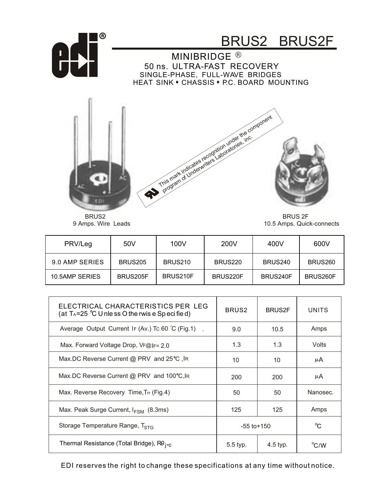

BRUS2 9 Amps. Wire Leads

BRUS 2F 10.5 Amps. Quick-connects

| PRV/Leg        | 50V            | 100V     | 200V     | 400V     | 600V     |
|----------------|----------------|----------|----------|----------|----------|
| 9.0 AMP SERIES | <b>BRUS205</b> | BRUS210  | BRUS220  | BRUS240  | BRUS260  |
| 10.5AMP SERIES | BRUS205F       | BRUS210F | BRUS220F | BRUS240F | BRUS260F |

| ELECTRICAL CHARACTERISTICS PER LEG<br>(at $T_A = 25$ °C U nle ss O the rwis e Sp eci fie d) | BRUS <sub>2</sub> | <b>BRUS2F</b> | <b>UNITS</b> |
|---------------------------------------------------------------------------------------------|-------------------|---------------|--------------|
| Average Output Current IF (Av.) Tc 60 $\degree$ C (Fig.1),                                  | 9.0               | 10.5          | Amps         |
| Max. Forward Voltage Drop, $V_F@ _{F} = 2.0$                                                | 1.3               | 1.3           | Volts        |
| Max.DC Reverse Current $@$ PRV and 25°C, IR                                                 | 10                | 10            | μA           |
| Max.DC Reverse Current @ PRV and 100°C, IR                                                  | 200               | 200           | μA           |
| Max. Reverse Recovery Time, Trr (Fig.4)                                                     | 50                | 50            | Nanosec.     |
| Max. Peak Surge Current, $I_{FSM}$ (8.3ms)                                                  | 125               | 125           | Amps         |
| Storage Temperature Range, T <sub>STG</sub>                                                 | $-55$ to $+150$   |               | $^{\circ}$ C |
| Thermal Resistance (Total Bridge), R0 <sub>i-c</sub>                                        | 5.5 typ.          | 4.5 typ.      | °C/W         |

EDI reserves the right to change these specifications at any time without notice.